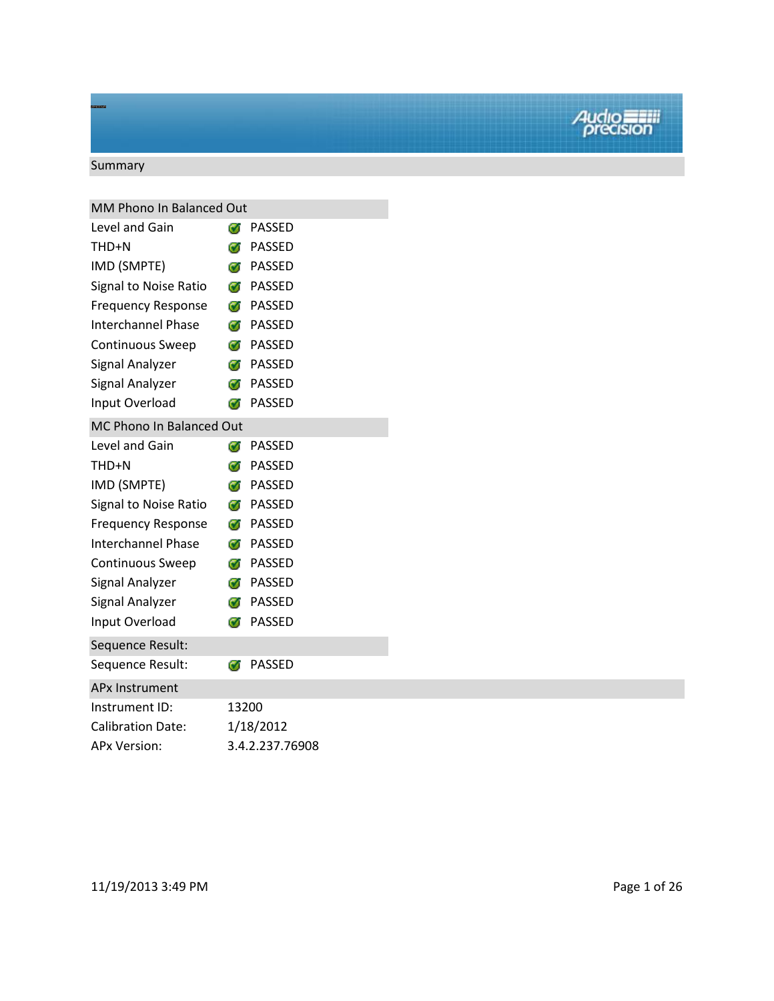# Summary

| MM Phono In Balanced Out  |       |                        |
|---------------------------|-------|------------------------|
| Level and Gain            | Œ.    | <b>PASSED</b>          |
| THD+N                     |       | <b>T</b> PASSED        |
| IMD (SMPTE)               |       | <b><i>S</i></b> PASSED |
| Signal to Noise Ratio     |       | <b>7</b> PASSED        |
| <b>Frequency Response</b> |       | <b><i>S</i></b> PASSED |
| <b>Interchannel Phase</b> |       | <b><i>S</i></b> PASSED |
| Continuous Sweep          |       | <b><i>S</i></b> PASSED |
| Signal Analyzer           |       | <b><i>S</i></b> PASSED |
| Signal Analyzer           |       | <b><i>S</i></b> PASSED |
| Input Overload            | Ø     | <b>PASSED</b>          |
| MC Phono In Balanced Out  |       |                        |
| Level and Gain            | Ø     | <b>PASSED</b>          |
| THD+N                     |       | <b>7</b> PASSED        |
| IMD (SMPTE)               |       | <b><i>S</i></b> PASSED |
| Signal to Noise Ratio     |       | <b><i>S</i></b> PASSED |
| <b>Frequency Response</b> |       | <b><i>S</i></b> PASSED |
| <b>Interchannel Phase</b> |       | <b><i>S</i></b> PASSED |
| Continuous Sweep          |       | <b><i>S</i></b> PASSED |
| Signal Analyzer           |       | <b><i>S</i></b> PASSED |
| Signal Analyzer           |       | <b><i>S</i></b> PASSED |
| Input Overload            | Ø     | <b>PASSED</b>          |
| Sequence Result:          |       |                        |
| Sequence Result:          | Ō.    | <b>PASSED</b>          |
| <b>APx Instrument</b>     |       |                        |
| Instrument ID:            | 13200 |                        |
| <b>Calibration Date:</b>  |       | 1/18/2012              |
| <b>APx Version:</b>       |       | 3.4.2.237.76908        |
|                           |       |                        |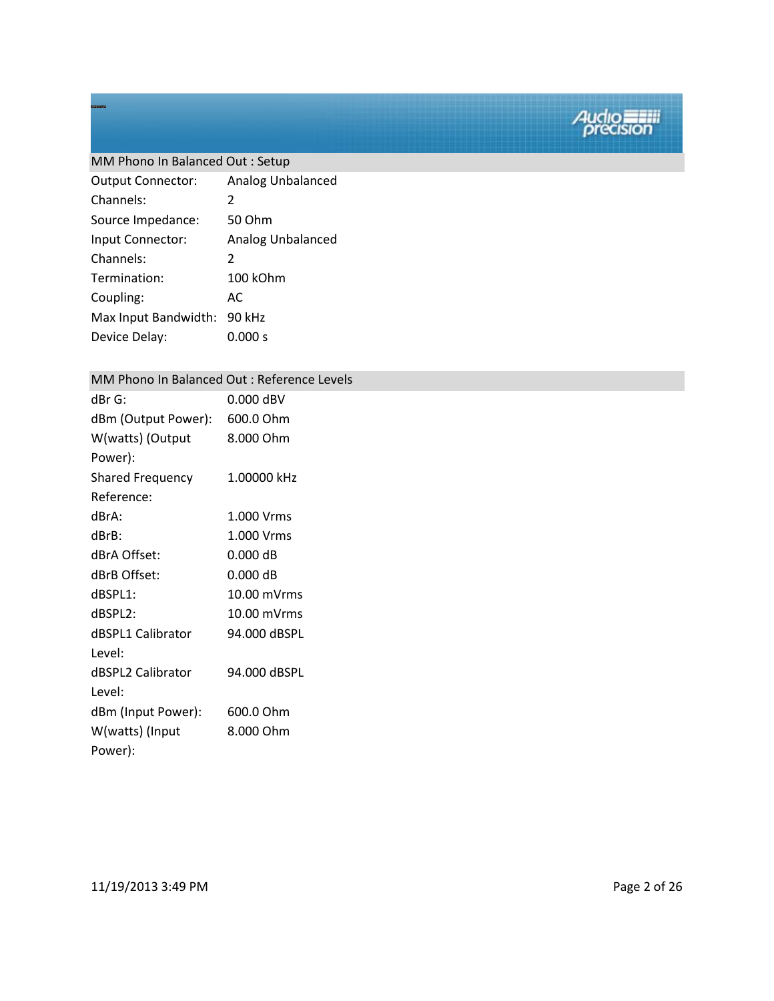### MM Phono In Balanced Out : Setup

| <b>Output Connector:</b> | Analog Unbalanced        |
|--------------------------|--------------------------|
| Channels:                | 2                        |
| Source Impedance:        | 50 Ohm                   |
| Input Connector:         | <b>Analog Unbalanced</b> |
| Channels:                | 2                        |
| Termination:             | 100 kOhm                 |
| Coupling:                | AC.                      |
| Max Input Bandwidth:     | 90 kHz                   |
| Device Delay:            | 0.000 s                  |

#### MM Phono In Balanced Out : Reference Levels

| $dBr$ G:                | $0.000$ dBV  |
|-------------------------|--------------|
| dBm (Output Power):     | 600.0 Ohm    |
| W(watts) (Output        | 8.000 Ohm    |
| Power):                 |              |
| <b>Shared Frequency</b> | 1.00000 kHz  |
| Reference:              |              |
| dBrA:                   | 1.000 Vrms   |
| dBrB:                   | 1.000 Vrms   |
| dBrA Offset:            | $0.000$ dB   |
| dBrB Offset:            | $0.000$ dB   |
| dBSPL1:                 | 10.00 mVrms  |
| dBSPL2:                 | 10.00 mVrms  |
| dBSPL1 Calibrator       | 94.000 dBSPL |
| Level:                  |              |
| dBSPL2 Calibrator       | 94.000 dBSPL |
| Level:                  |              |
| dBm (Input Power):      | 600.0 Ohm    |
| W(watts) (Input         | 8.000 Ohm    |
| Power):                 |              |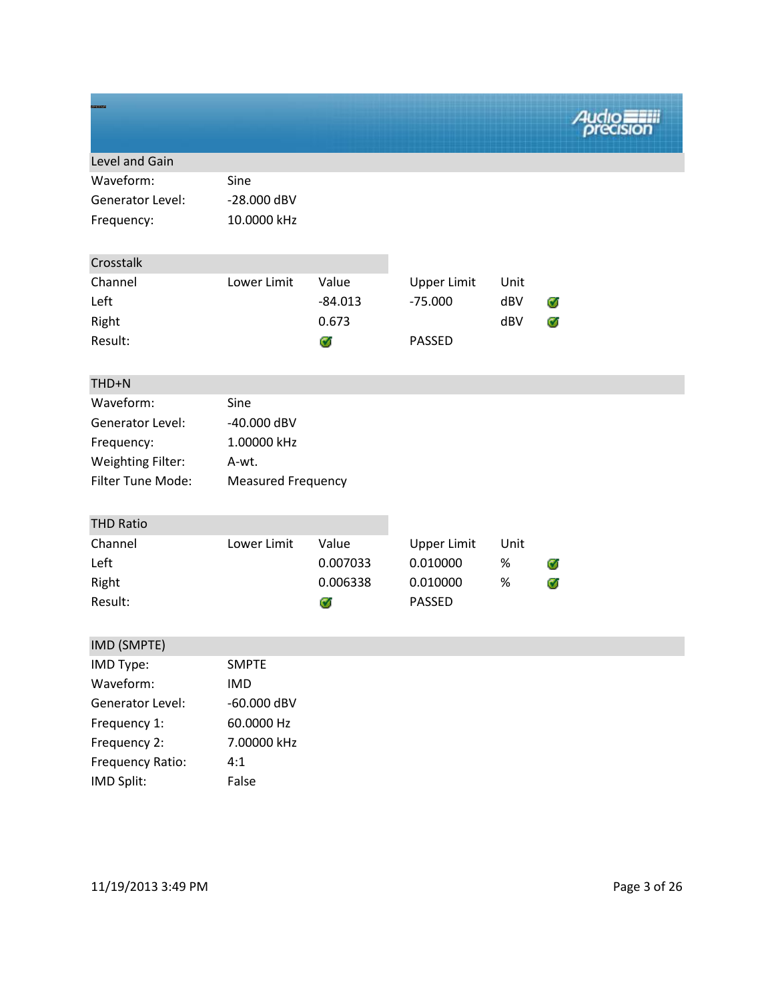| Level and Gain           |                           |           |                    |      |   |
|--------------------------|---------------------------|-----------|--------------------|------|---|
| Waveform:                | Sine                      |           |                    |      |   |
| Generator Level:         | -28.000 dBV               |           |                    |      |   |
| Frequency:               | 10.0000 kHz               |           |                    |      |   |
| Crosstalk                |                           |           |                    |      |   |
| Channel                  | Lower Limit               | Value     | <b>Upper Limit</b> | Unit |   |
| Left                     |                           | $-84.013$ | $-75.000$          | dBV  | Ø |
| Right                    |                           | 0.673     |                    | dBV  | Ø |
| Result:                  |                           | Ø         | <b>PASSED</b>      |      |   |
|                          |                           |           |                    |      |   |
| THD+N                    |                           |           |                    |      |   |
| Waveform:                | Sine                      |           |                    |      |   |
| <b>Generator Level:</b>  | -40.000 dBV               |           |                    |      |   |
| Frequency:               | 1.00000 kHz               |           |                    |      |   |
| <b>Weighting Filter:</b> | A-wt.                     |           |                    |      |   |
| Filter Tune Mode:        | <b>Measured Frequency</b> |           |                    |      |   |
| <b>THD Ratio</b>         |                           |           |                    |      |   |
| Channel                  | Lower Limit               | Value     | <b>Upper Limit</b> | Unit |   |
| Left                     |                           | 0.007033  | 0.010000           | $\%$ | Ø |
| Right                    |                           | 0.006338  | 0.010000           | %    | Ø |
| Result:                  |                           | Ø         | <b>PASSED</b>      |      |   |
| IMD (SMPTE)              |                           |           |                    |      |   |
| IMD Type:                | <b>SMPTE</b>              |           |                    |      |   |
| Waveform:                | <b>IMD</b>                |           |                    |      |   |
| Generator Level:         | -60.000 dBV               |           |                    |      |   |
| Frequency 1:             | 60.0000 Hz                |           |                    |      |   |
| Frequency 2:             | 7.00000 kHz               |           |                    |      |   |
| Frequency Ratio:         | 4:1                       |           |                    |      |   |
| IMD Split:               | False                     |           |                    |      |   |

11/19/2013 3:49 PM Page 3 of 26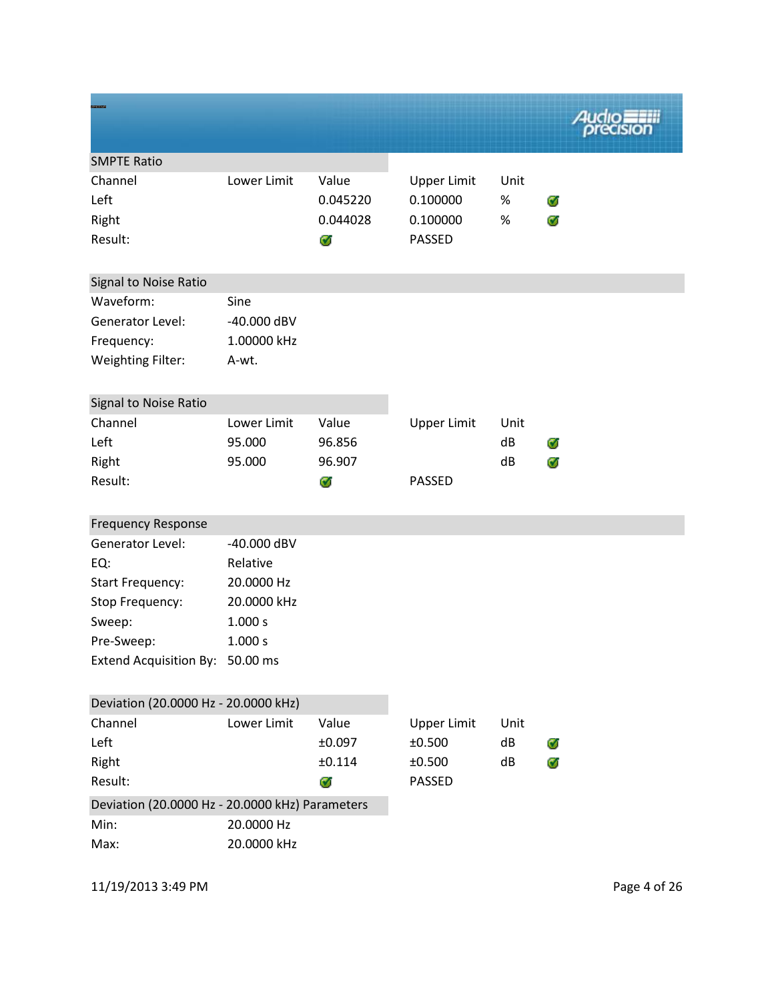|                                                 |             |             |                    |      | <b>Audio</b> |
|-------------------------------------------------|-------------|-------------|--------------------|------|--------------|
| <b>SMPTE Ratio</b>                              |             |             |                    |      |              |
| Channel                                         | Lower Limit | Value       | <b>Upper Limit</b> | Unit |              |
| Left                                            |             | 0.045220    | 0.100000           | %    | Ø            |
| Right                                           |             | 0.044028    | 0.100000           | $\%$ | Ø            |
| Result:                                         |             | Ø           | PASSED             |      |              |
| Signal to Noise Ratio                           |             |             |                    |      |              |
| Waveform:                                       | Sine        |             |                    |      |              |
| <b>Generator Level:</b>                         | -40.000 dBV |             |                    |      |              |
| Frequency:                                      | 1.00000 kHz |             |                    |      |              |
| <b>Weighting Filter:</b>                        | A-wt.       |             |                    |      |              |
| Signal to Noise Ratio                           |             |             |                    |      |              |
| Channel                                         | Lower Limit | Value       | <b>Upper Limit</b> | Unit |              |
| Left                                            | 95.000      | 96.856      |                    | dB   | Ø            |
| Right                                           | 95.000      | 96.907      |                    | dB   | Ø            |
| Result:                                         |             | Ø           | <b>PASSED</b>      |      |              |
| <b>Frequency Response</b>                       |             |             |                    |      |              |
| Generator Level:                                | -40.000 dBV |             |                    |      |              |
| EQ:                                             | Relative    |             |                    |      |              |
| <b>Start Frequency:</b>                         | 20.0000 Hz  |             |                    |      |              |
| Stop Frequency:                                 | 20.0000 kHz |             |                    |      |              |
| Sweep:                                          | 1.000 s     |             |                    |      |              |
| Pre-Sweep:                                      | 1.000 s     |             |                    |      |              |
| Extend Acquisition By: 50.00 ms                 |             |             |                    |      |              |
| Deviation (20.0000 Hz - 20.0000 kHz)            |             |             |                    |      |              |
| Channel                                         | Lower Limit | Value       | <b>Upper Limit</b> | Unit |              |
| Left                                            |             | $\pm 0.097$ | ±0.500             | dB   | Ø            |
| Right                                           |             | ±0.114      | ±0.500             | dB   | Ø            |
| Result:                                         |             | C.          | PASSED             |      |              |
| Deviation (20.0000 Hz - 20.0000 kHz) Parameters |             |             |                    |      |              |
| Min:                                            | 20.0000 Hz  |             |                    |      |              |
| Max:                                            | 20.0000 kHz |             |                    |      |              |

11/19/2013 3:49 PM Page 4 of 26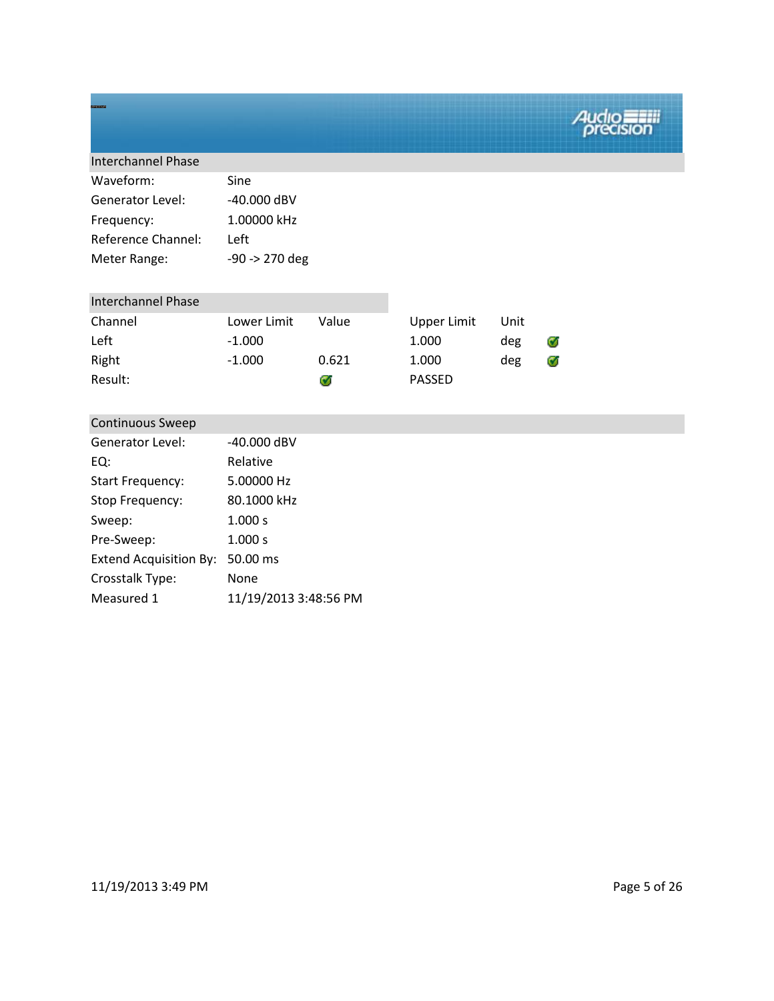| <b>Interchannel Phase</b> |                  |
|---------------------------|------------------|
| Waveform:                 | Sine             |
| Generator Level:          | $-40.000$ dBV    |
| Frequency:                | 1.00000 kHz      |
| <b>Reference Channel:</b> | Left             |
| Meter Range:              | $-90 -> 270$ deg |

| <b>Interchannel Phase</b> |             |       |               |      |   |
|---------------------------|-------------|-------|---------------|------|---|
| Channel                   | Lower Limit | Value | Upper Limit   | Unit |   |
| Left                      | $-1.000$    |       | 1.000         | deg  | Ø |
| Right                     | $-1.000$    | 0.621 | 1.000         | deg  | Ø |
| Result:                   |             | G.    | <b>PASSED</b> |      |   |

| <b>Continuous Sweep</b>       |                       |
|-------------------------------|-----------------------|
| Generator Level:              | -40.000 dBV           |
| EQ:                           | Relative              |
| <b>Start Frequency:</b>       | 5.00000 Hz            |
| Stop Frequency:               | 80.1000 kHz           |
| Sweep:                        | 1.000 s               |
| Pre-Sweep:                    | 1.000 s               |
| <b>Extend Acquisition By:</b> | 50.00 ms              |
| Crosstalk Type:               | None                  |
| Measured 1                    | 11/19/2013 3:48:56 PM |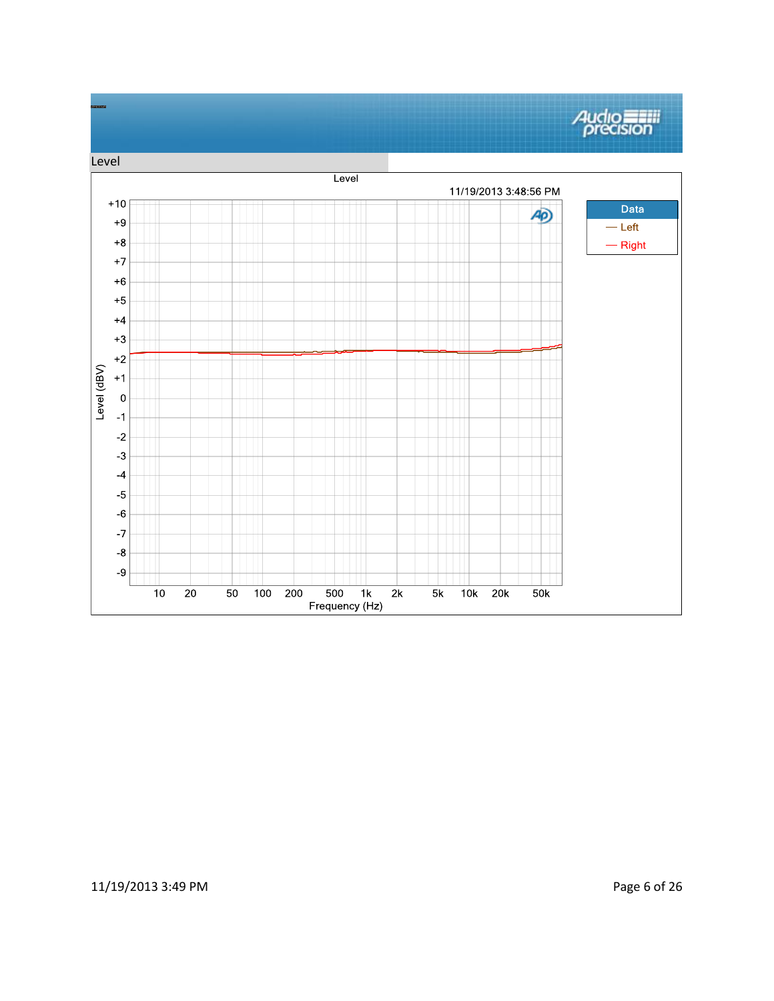

### 11/19/2013 3:49 PM Page 6 of 26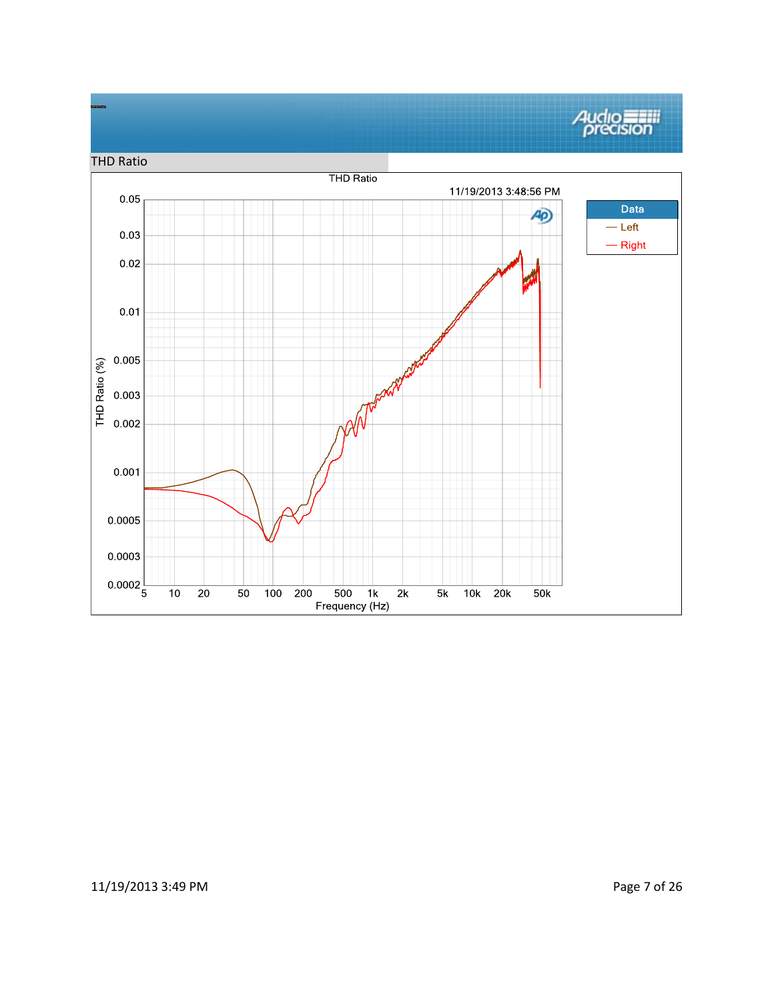#### Audio THD Ratio**THD Ratio** 11/19/2013 3:48:56 PM  $0.05$ Data AD)  $-\mathsf{Left}$  $0.03\,$  $-$  Right  $0.02$  $0.01$  $0.005$ THD Ratio (%) 0.003  $0.002$  $0.001$ 0.0005 0.0003  $0.0002\frac{1}{5}$  $\overline{10}$  $\overline{20}$  $100$  200  $\overline{500}$  $\overline{2k}$  $\overline{5k}$  $10k$  20 $k$ 50  $1k$  $50k$ Frequency (Hz)

## 11/19/2013 3:49 PM Page 7 of 26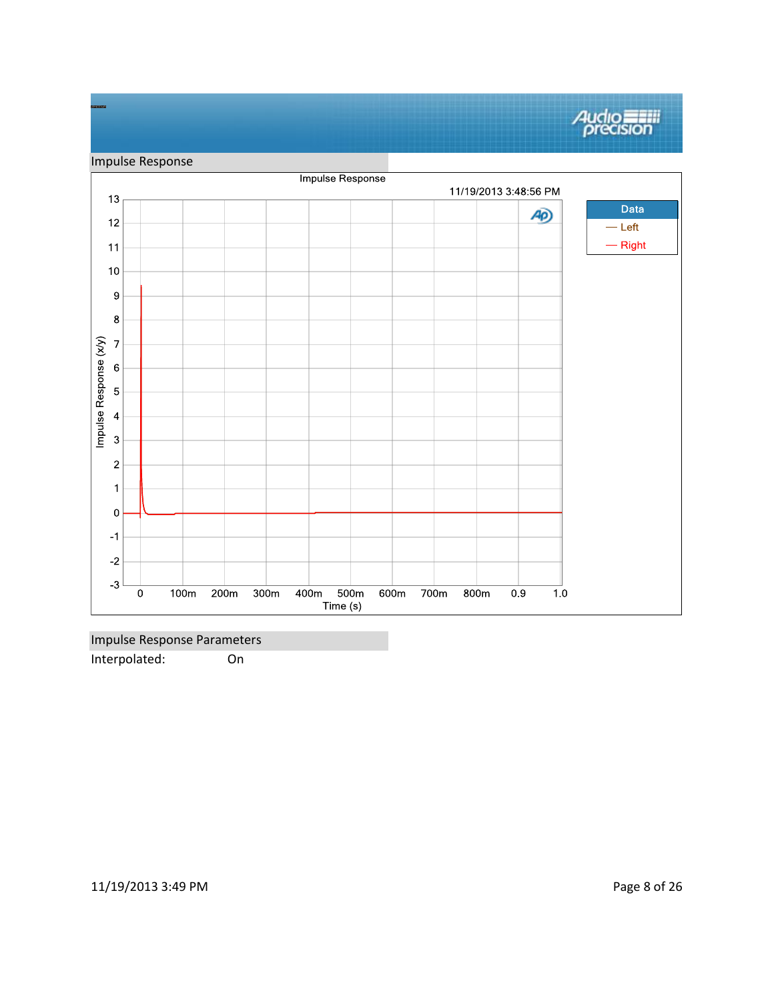

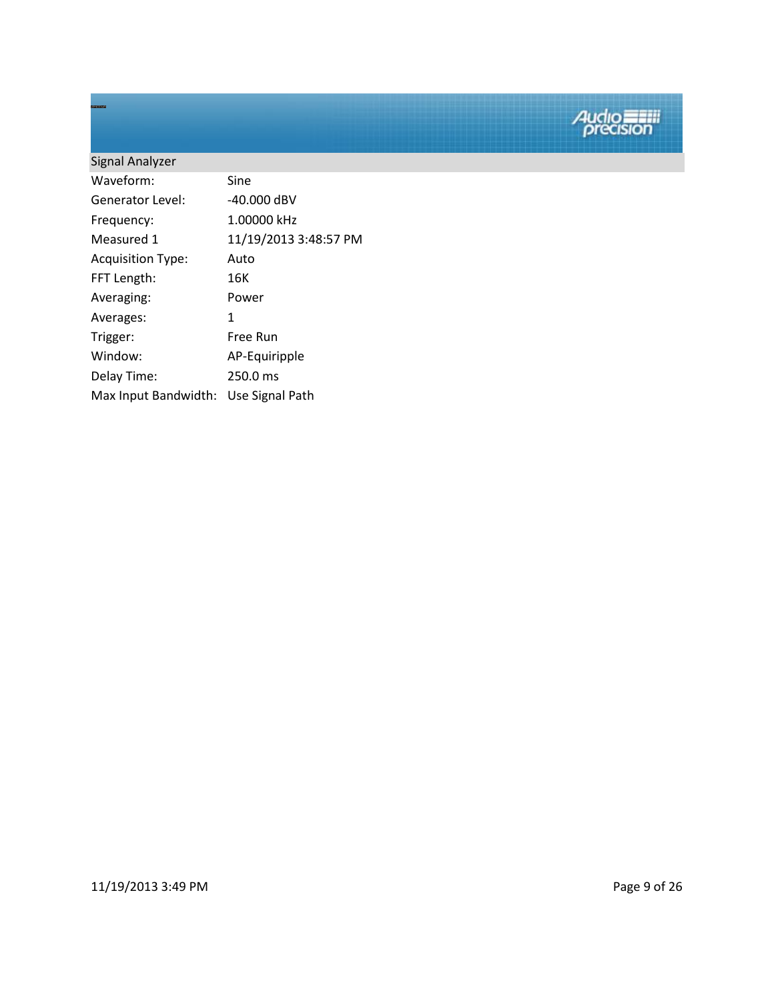| Signal Analyzer          |                       |
|--------------------------|-----------------------|
| Waveform:                | Sine                  |
| Generator Level:         | $-40.000$ dBV         |
| Frequency:               | 1.00000 kHz           |
| Measured 1               | 11/19/2013 3:48:57 PM |
| <b>Acquisition Type:</b> | Auto                  |
| FFT Length:              | 16K                   |
| Averaging:               | Power                 |
| Averages:                | 1                     |
| Trigger:                 | Free Run              |
| Window:                  | AP-Equiripple         |
| Delay Time:              | 250.0 ms              |
| Max Input Bandwidth:     | Use Signal Path       |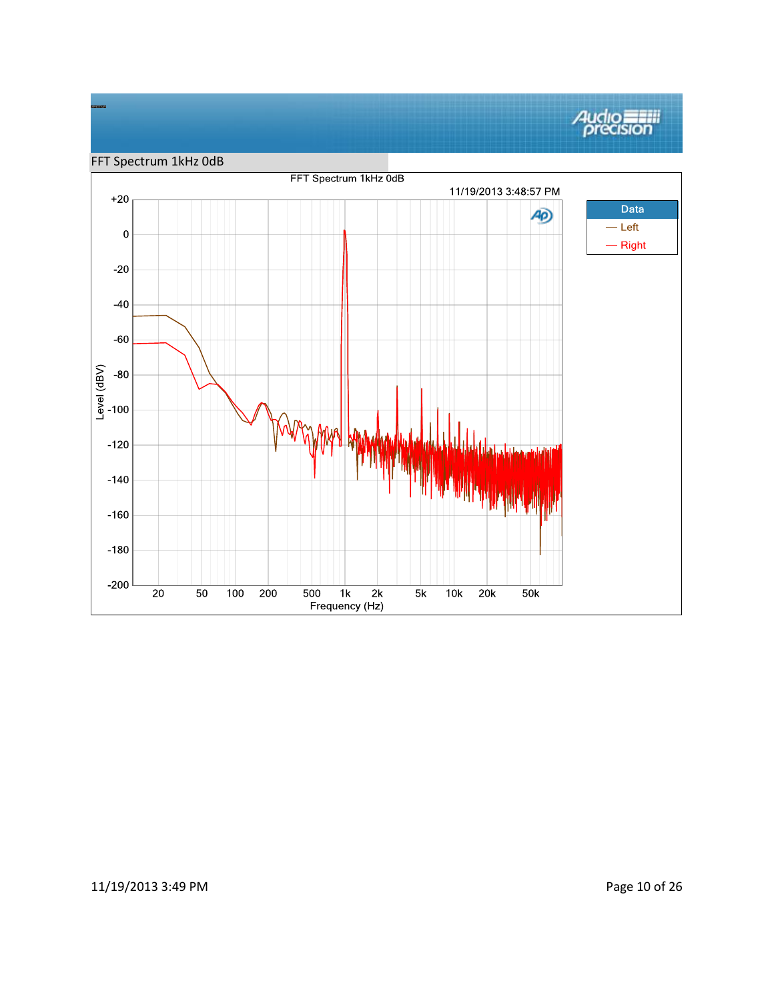# **Audio**<br>*precision*



## 11/19/2013 3:49 PM Page 10 of 26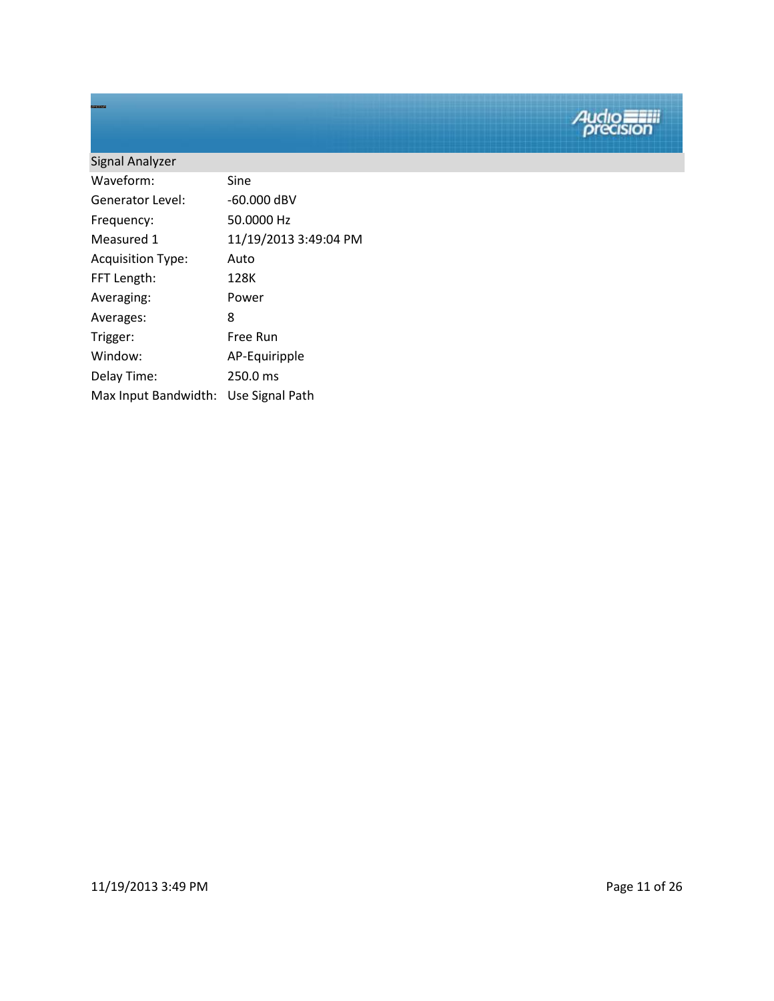| Signal Analyzer          |                       |
|--------------------------|-----------------------|
| Waveform:                | Sine                  |
| Generator Level:         | $-60.000$ dBV         |
| Frequency:               | 50.0000 Hz            |
| Measured 1               | 11/19/2013 3:49:04 PM |
| <b>Acquisition Type:</b> | Auto                  |
| FFT Length:              | 128K                  |
| Averaging:               | Power                 |
| Averages:                | 8                     |
| Trigger:                 | Free Run              |
| Window:                  | AP-Equiripple         |
| Delay Time:              | 250.0 ms              |
| Max Input Bandwidth:     | Use Signal Path       |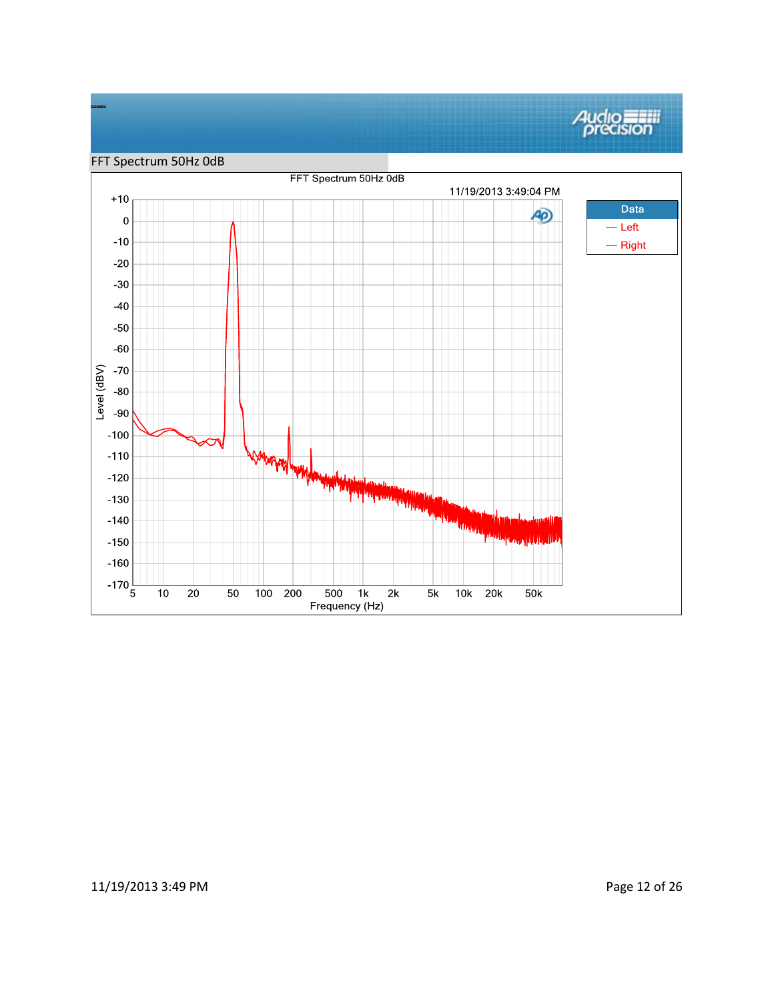

### 11/19/2013 3:49 PM Page 12 of 26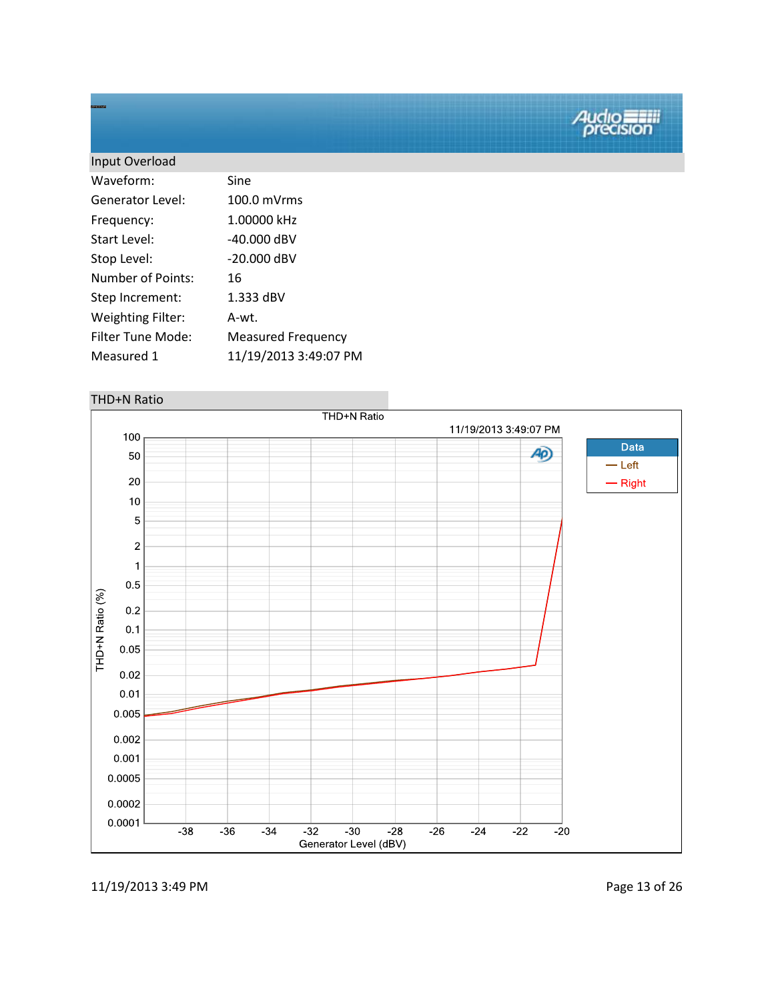| Input Overload           |                           |
|--------------------------|---------------------------|
| Waveform:                | Sine                      |
| Generator Level:         | $100.0$ mVrms             |
| Frequency:               | 1.00000 kHz               |
| Start Level:             | -40.000 dBV               |
| Stop Level:              | -20.000 dBV               |
| Number of Points:        | 16                        |
| Step Increment:          | 1.333 dBV                 |
| <b>Weighting Filter:</b> | A-wt.                     |
| Filter Tune Mode:        | <b>Measured Frequency</b> |
| Measured 1               | 11/19/2013 3:49:07 PM     |
|                          |                           |

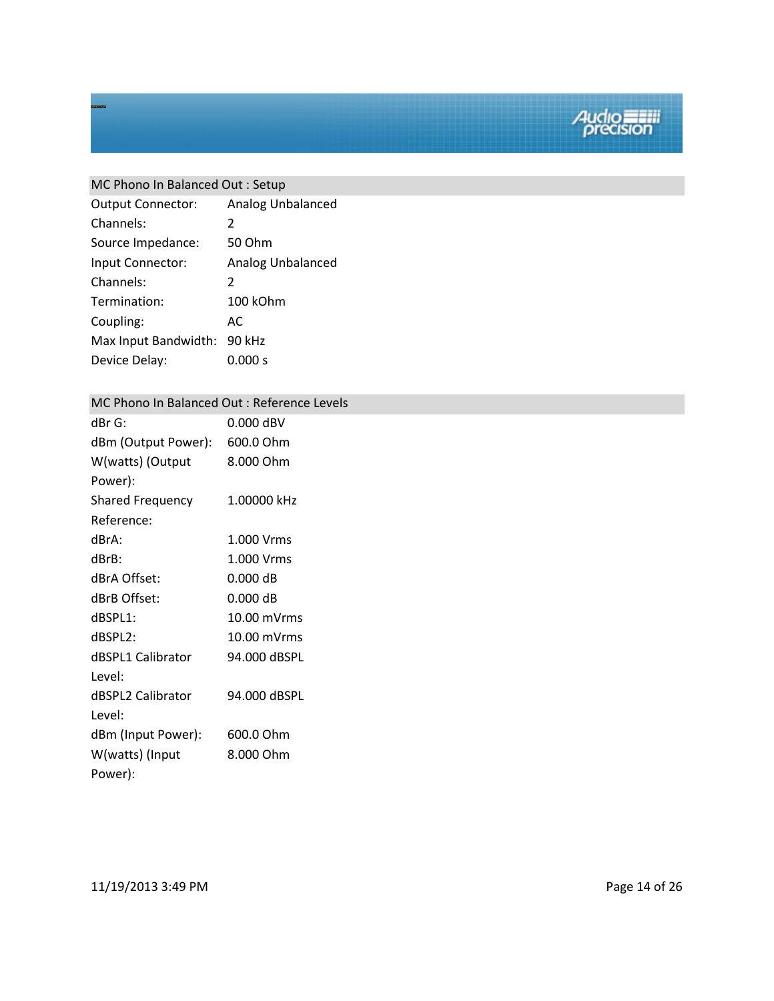## MC Phono In Balanced Out : Setup

| Analog Unbalanced        |
|--------------------------|
| $\mathcal{P}$            |
| 50 Ohm                   |
| <b>Analog Unbalanced</b> |
| $\mathcal{P}$            |
| 100 kOhm                 |
| AC                       |
| 90 kHz                   |
| 0.000 s                  |
|                          |

### MC Phono In Balanced Out : Reference Levels

| dBr G:                  | $0.000$ dBV  |
|-------------------------|--------------|
| dBm (Output Power):     | 600.0 Ohm    |
| W(watts) (Output        | 8.000 Ohm    |
| Power):                 |              |
| <b>Shared Frequency</b> | 1.00000 kHz  |
| Reference:              |              |
| dBrA:                   | 1.000 Vrms   |
| dBrB:                   | 1.000 Vrms   |
| dBrA Offset:            | $0.000$ dB   |
| dBrB Offset:            | $0.000$ dB   |
| dBSPL1:                 | 10.00 mVrms  |
| dBSPL2:                 | 10.00 mVrms  |
| dBSPL1 Calibrator       | 94.000 dBSPL |
| Level:                  |              |
| dBSPL2 Calibrator       | 94.000 dBSPL |
| Level:                  |              |
| dBm (Input Power):      | 600.0 Ohm    |
| W(watts) (Input         | 8.000 Ohm    |
| Power):                 |              |

11/19/2013 3:49 PM Page 14 of 26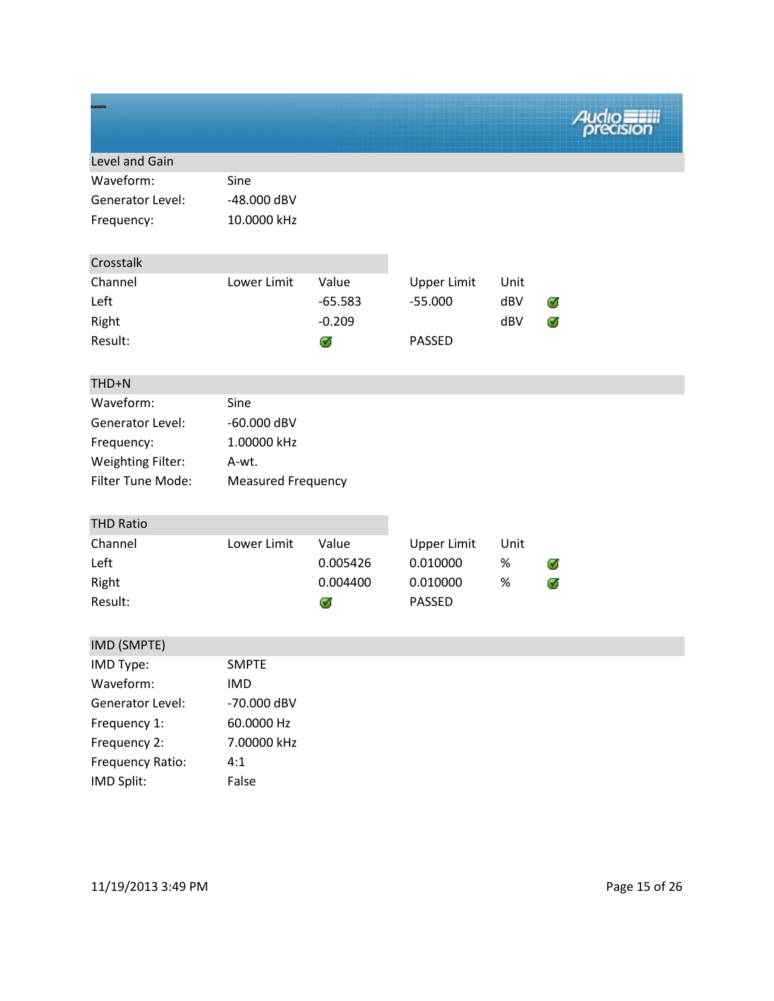| Level and Gain           |                           |           |                    |      |   |
|--------------------------|---------------------------|-----------|--------------------|------|---|
| Waveform:                | Sine                      |           |                    |      |   |
| Generator Level:         | -48.000 dBV               |           |                    |      |   |
| Frequency:               | 10.0000 kHz               |           |                    |      |   |
| Crosstalk                |                           |           |                    |      |   |
| Channel                  | Lower Limit               | Value     | <b>Upper Limit</b> | Unit |   |
| Left                     |                           | $-65.583$ | $-55.000$          | dBV  | Ø |
| Right                    |                           | $-0.209$  |                    | dBV  | Ø |
| Result:                  |                           | Ø         | <b>PASSED</b>      |      |   |
|                          |                           |           |                    |      |   |
| THD+N                    |                           |           |                    |      |   |
| Waveform:                | Sine                      |           |                    |      |   |
| <b>Generator Level:</b>  | $-60.000$ dBV             |           |                    |      |   |
| Frequency:               | 1.00000 kHz               |           |                    |      |   |
| <b>Weighting Filter:</b> | A-wt.                     |           |                    |      |   |
| Filter Tune Mode:        | <b>Measured Frequency</b> |           |                    |      |   |
| <b>THD Ratio</b>         |                           |           |                    |      |   |
| Channel                  | Lower Limit               | Value     | <b>Upper Limit</b> | Unit |   |
| Left                     |                           | 0.005426  | 0.010000           | $\%$ | Ø |
| Right                    |                           | 0.004400  | 0.010000           | $\%$ | Ø |
| Result:                  |                           | Ø         | PASSED             |      |   |
| IMD (SMPTE)              |                           |           |                    |      |   |
| IMD Type:                | <b>SMPTE</b>              |           |                    |      |   |
| Waveform:                | <b>IMD</b>                |           |                    |      |   |
| Generator Level:         | -70.000 dBV               |           |                    |      |   |
| Frequency 1:             | 60.0000 Hz                |           |                    |      |   |
| Frequency 2:             | 7.00000 kHz               |           |                    |      |   |
| Frequency Ratio:         | 4:1                       |           |                    |      |   |
| IMD Split:               | False                     |           |                    |      |   |

11/19/2013 3:49 PM Page 15 of 26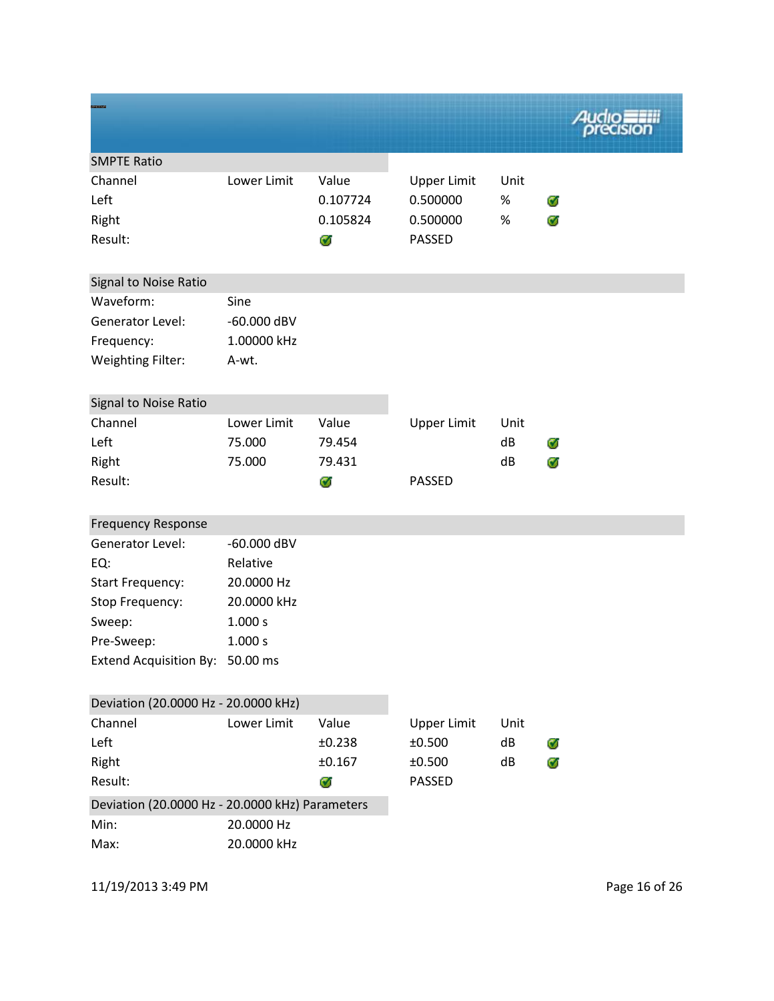|                                                 |               |          |                    |      | 4udio. |
|-------------------------------------------------|---------------|----------|--------------------|------|--------|
| <b>SMPTE Ratio</b>                              |               |          |                    |      |        |
| Channel                                         | Lower Limit   | Value    | <b>Upper Limit</b> | Unit |        |
| Left                                            |               | 0.107724 | 0.500000           | %    | Ø      |
| Right                                           |               | 0.105824 | 0.500000           | $\%$ | Ø      |
| Result:                                         |               | Ø        | <b>PASSED</b>      |      |        |
| Signal to Noise Ratio                           |               |          |                    |      |        |
| Waveform:                                       | Sine          |          |                    |      |        |
| Generator Level:                                | $-60.000$ dBV |          |                    |      |        |
| Frequency:                                      | 1.00000 kHz   |          |                    |      |        |
| <b>Weighting Filter:</b>                        | A-wt.         |          |                    |      |        |
| Signal to Noise Ratio                           |               |          |                    |      |        |
| Channel                                         | Lower Limit   | Value    | <b>Upper Limit</b> | Unit |        |
| Left                                            | 75.000        | 79.454   |                    | dB   | Ø      |
| Right                                           | 75.000        | 79.431   |                    | dB   | ø      |
| Result:                                         |               | Ø        | <b>PASSED</b>      |      |        |
| <b>Frequency Response</b>                       |               |          |                    |      |        |
| Generator Level:                                | $-60.000$ dBV |          |                    |      |        |
| EQ:                                             | Relative      |          |                    |      |        |
| <b>Start Frequency:</b>                         | 20.0000 Hz    |          |                    |      |        |
| Stop Frequency:                                 | 20.0000 kHz   |          |                    |      |        |
| Sweep:                                          | 1.000 s       |          |                    |      |        |
| Pre-Sweep:                                      | 1.000 s       |          |                    |      |        |
| Extend Acquisition By: 50.00 ms                 |               |          |                    |      |        |
| Deviation (20.0000 Hz - 20.0000 kHz)            |               |          |                    |      |        |
| Channel                                         | Lower Limit   | Value    | <b>Upper Limit</b> | Unit |        |
| Left                                            |               | ±0.238   | ±0.500             | dB   | Ø      |
| Right                                           |               | ±0.167   | ±0.500             | dB   | Ø      |
| Result:                                         |               | Ø        | PASSED             |      |        |
| Deviation (20.0000 Hz - 20.0000 kHz) Parameters |               |          |                    |      |        |
| Min:                                            | 20.0000 Hz    |          |                    |      |        |
| Max:                                            | 20.0000 kHz   |          |                    |      |        |

11/19/2013 3:49 PM Page 16 of 26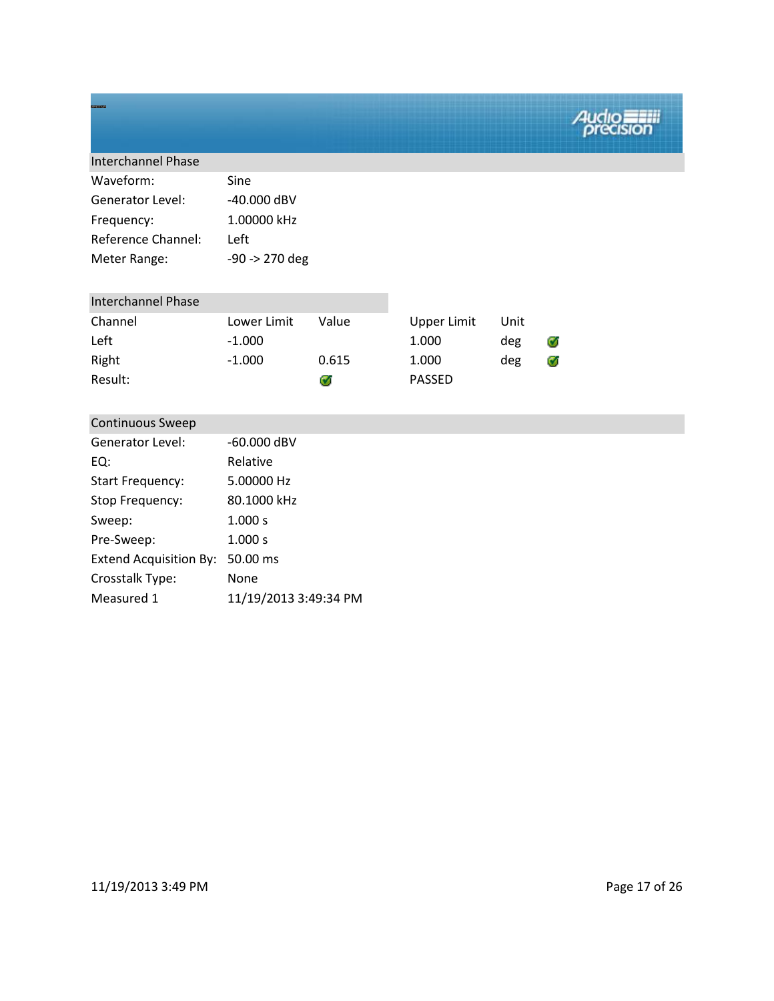| Sine           |
|----------------|
| $-40.000$ dBV  |
| 1.00000 kHz    |
| Left           |
| -90 -> 270 deg |
|                |

| <b>Interchannel Phase</b> |             |       |               |      |    |
|---------------------------|-------------|-------|---------------|------|----|
| Channel                   | Lower Limit | Value | Upper Limit   | Unit |    |
| Left                      | $-1.000$    |       | 1.000         | deg  | C. |
| Right                     | $-1.000$    | 0.615 | 1.000         | deg  |    |
| Result:                   |             |       | <b>PASSED</b> |      |    |

| <b>Continuous Sweep</b>       |                       |
|-------------------------------|-----------------------|
| Generator Level:              | $-60.000$ dBV         |
| EQ:                           | Relative              |
| <b>Start Frequency:</b>       | 5.00000 Hz            |
| Stop Frequency:               | 80.1000 kHz           |
| Sweep:                        | 1.000 s               |
| Pre-Sweep:                    | 1.000 s               |
| <b>Extend Acquisition By:</b> | 50.00 ms              |
| Crosstalk Type:               | None                  |
| Measured 1                    | 11/19/2013 3:49:34 PM |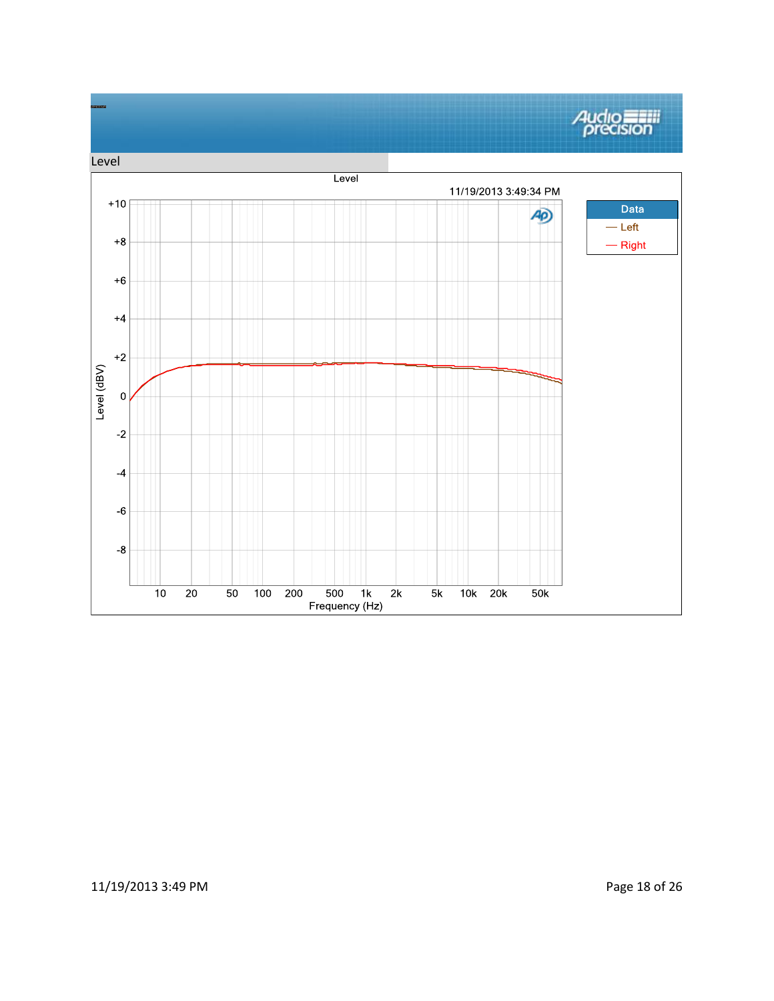

## 11/19/2013 3:49 PM Page 18 of 26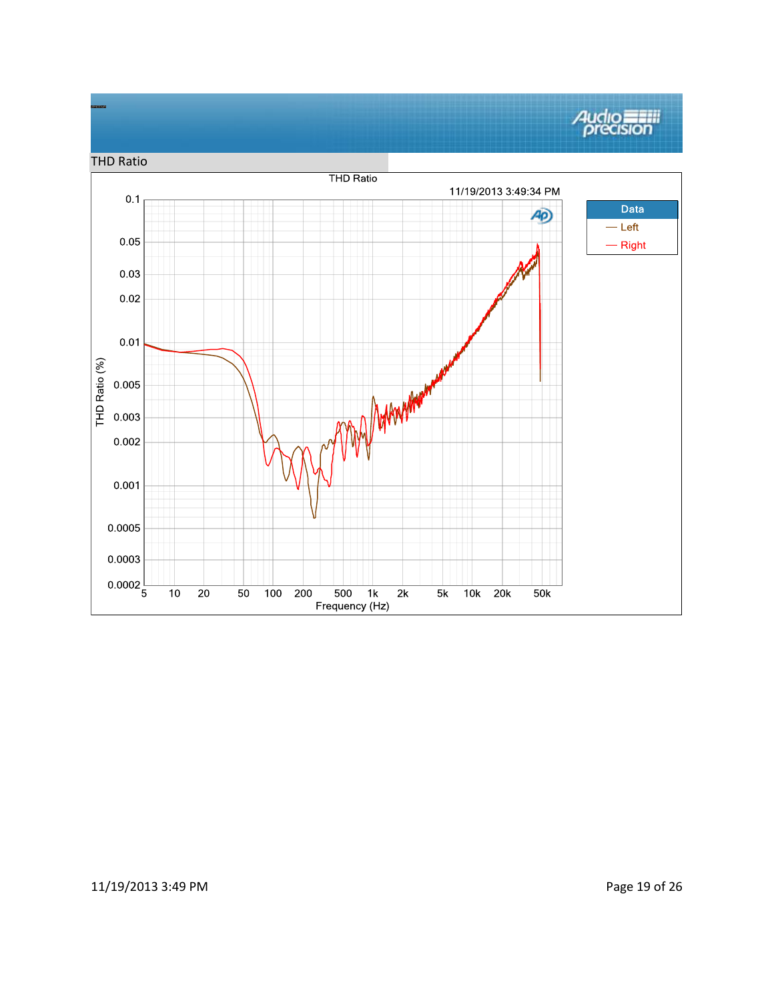#### **Audio**<br>*precision* THD Ratio**THD Ratio** 11/19/2013 3:49:34 PM  $0.1$ Data 4O)  $-\mathsf{Left}$  $0.05\,$  $-$  Right  $0.03$  $0.02\,$  $0.01$ THD Ratio (%) MM Arrangement  $0.005$ 0.003  $0.002$ 0.001  $0.0005$ 0.0003  $0.0002\frac{1}{5}$  $\overline{10}$  $\overline{20}$  $\overline{50}$  $100$  200  $\overline{500}$  $\overline{2k}$  $\overline{5k}$  $10k$  20 $k$  $1k$  $50k$ Frequency (Hz)

### 11/19/2013 3:49 PM Page 19 of 26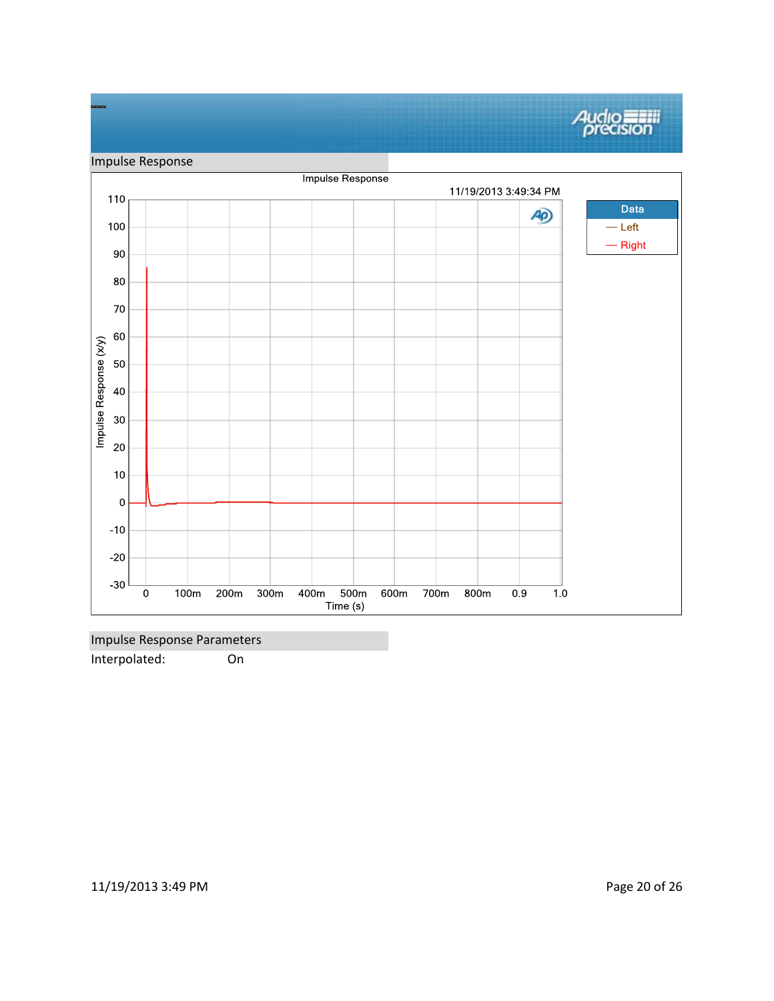#### **Audio**<br>*Precision* Impulse Response Impulse Response 11/19/2013 3:49:34 PM 110 Data A<sub>D</sub> 100  $-\mathsf{Left}$  $-$  Right 90  $80\,$  $70\,$ 60 Impulse Response (x/y) 50 40 30  $20$  $10$  $\pmb{0}$  $-10$  $-20$  $-30$  $\overline{\overline{0}}$  $100m$  $200m$  $300m$ 400m 500m  $600m$  $700m$  $800m$  $0.9$  $1.0$ Time (s)

Impulse Response Parameters Interpolated: On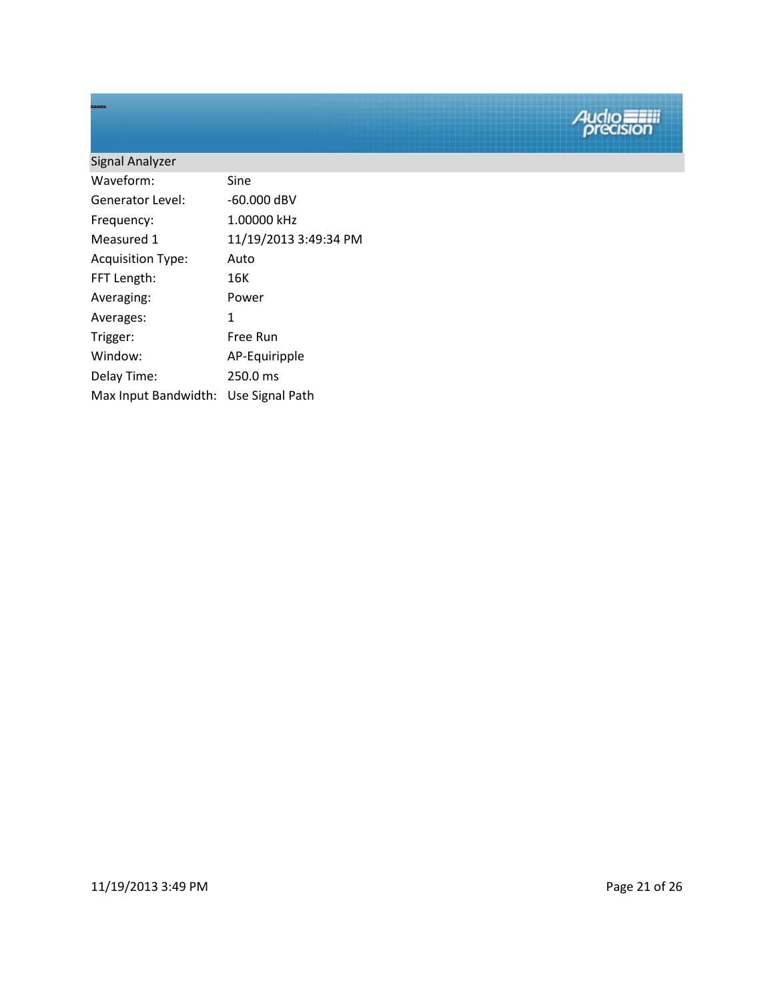| Signal Analyzer          |                       |
|--------------------------|-----------------------|
| Waveform:                | Sine                  |
| Generator Level:         | $-60.000$ dBV         |
| Frequency:               | 1.00000 kHz           |
| Measured 1               | 11/19/2013 3:49:34 PM |
| <b>Acquisition Type:</b> | Auto                  |
| FFT Length:              | 16K                   |
| Averaging:               | Power                 |
| Averages:                | 1                     |
| Trigger:                 | Free Run              |
| Window:                  | AP-Equiripple         |
| Delay Time:              | 250.0 ms              |
| Max Input Bandwidth:     | Use Signal Path       |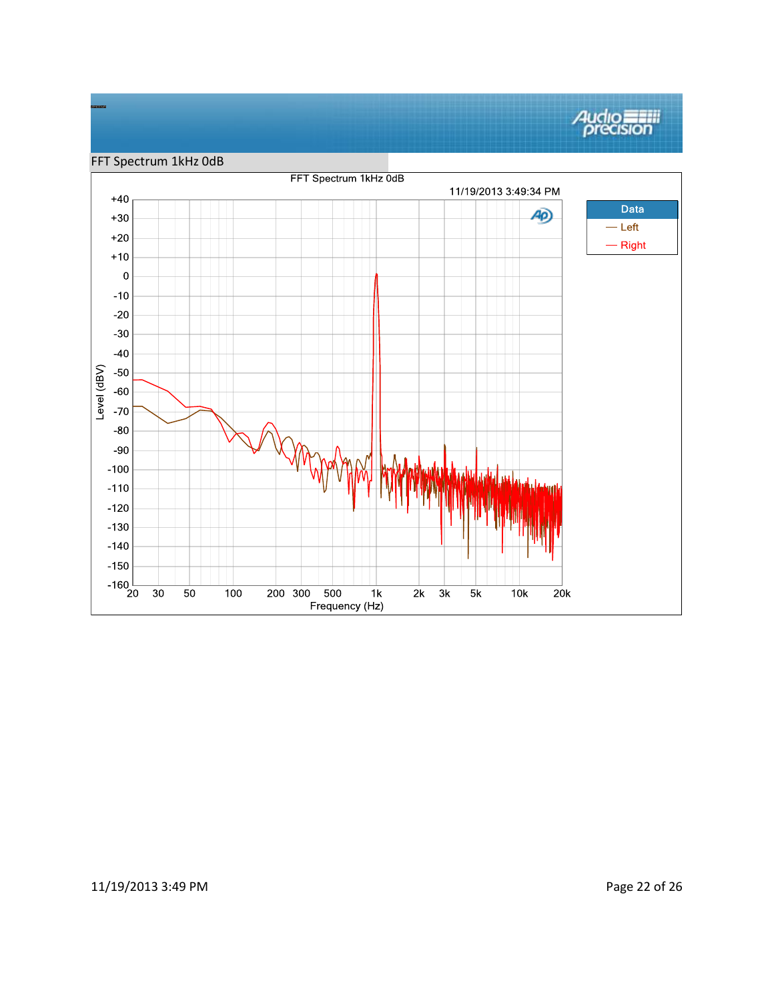# **Audio**<br>*precision*



### 11/19/2013 3:49 PM Page 22 of 26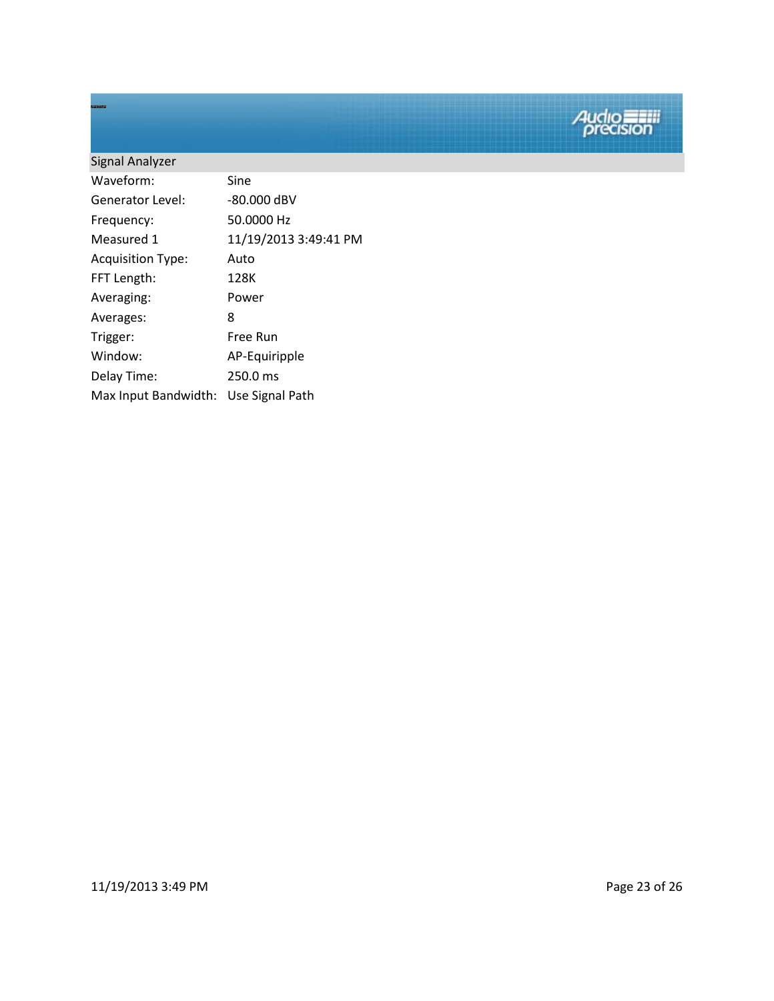# Signal Analyzer Waveform: Sine Generator Level: -80.000 dBV Frequency: 50.0000 Hz Measured 1 11/19/2013 3:49:41 PM Acquisition Type: Auto FFT Length: 128K Averaging: Power Averages: 8 Trigger: Free Run Window: AP-Equiripple Delay Time: 250.0 ms Max Input Bandwidth: Use Signal Path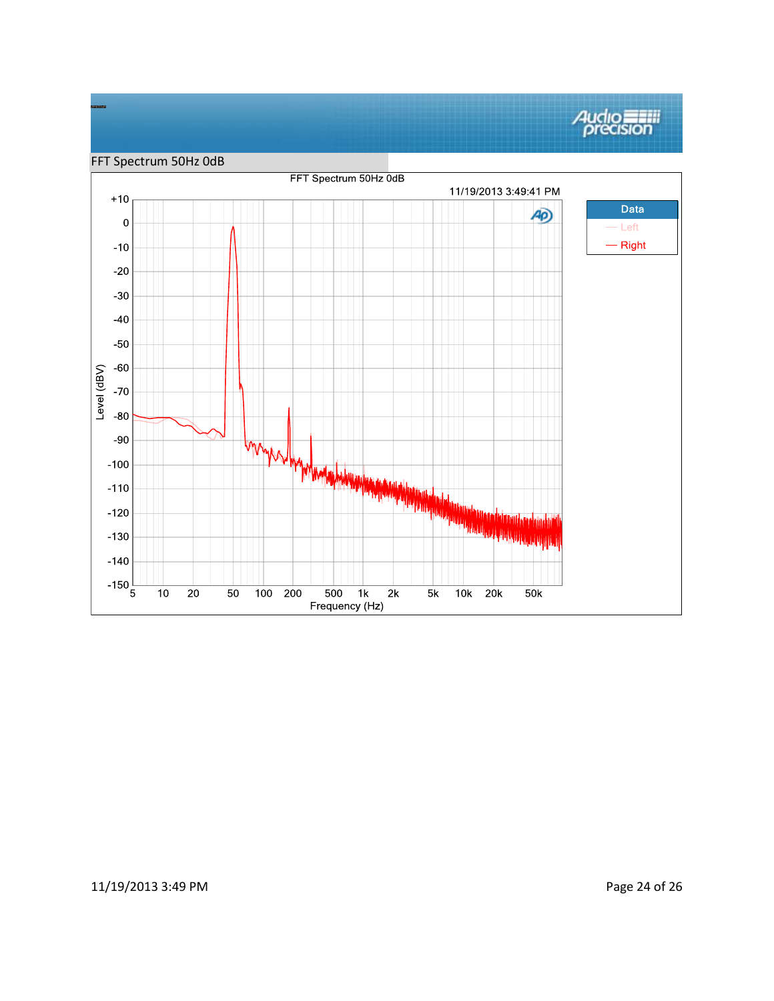

### 11/19/2013 3:49 PM Page 24 of 26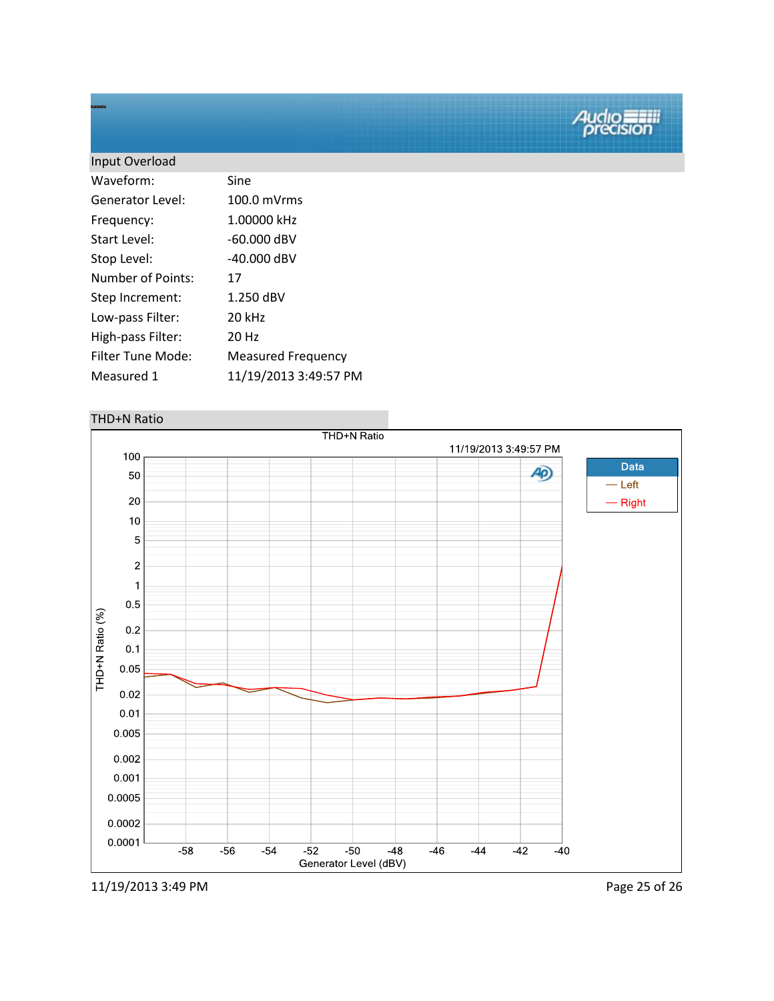| Input Overload    |                           |
|-------------------|---------------------------|
| Waveform:         | Sine                      |
| Generator Level:  | 100.0 mVrms               |
| Frequency:        | 1.00000 kHz               |
| Start Level:      | $-60.000$ dBV             |
| Stop Level:       | $-40.000$ dBV             |
| Number of Points: | 17                        |
| Step Increment:   | 1.250 dBV                 |
| Low-pass Filter:  | 20 kHz                    |
| High-pass Filter: | 20 Hz                     |
| Filter Tune Mode: | <b>Measured Frequency</b> |
| Measured 1        | 11/19/2013 3:49:57 PM     |